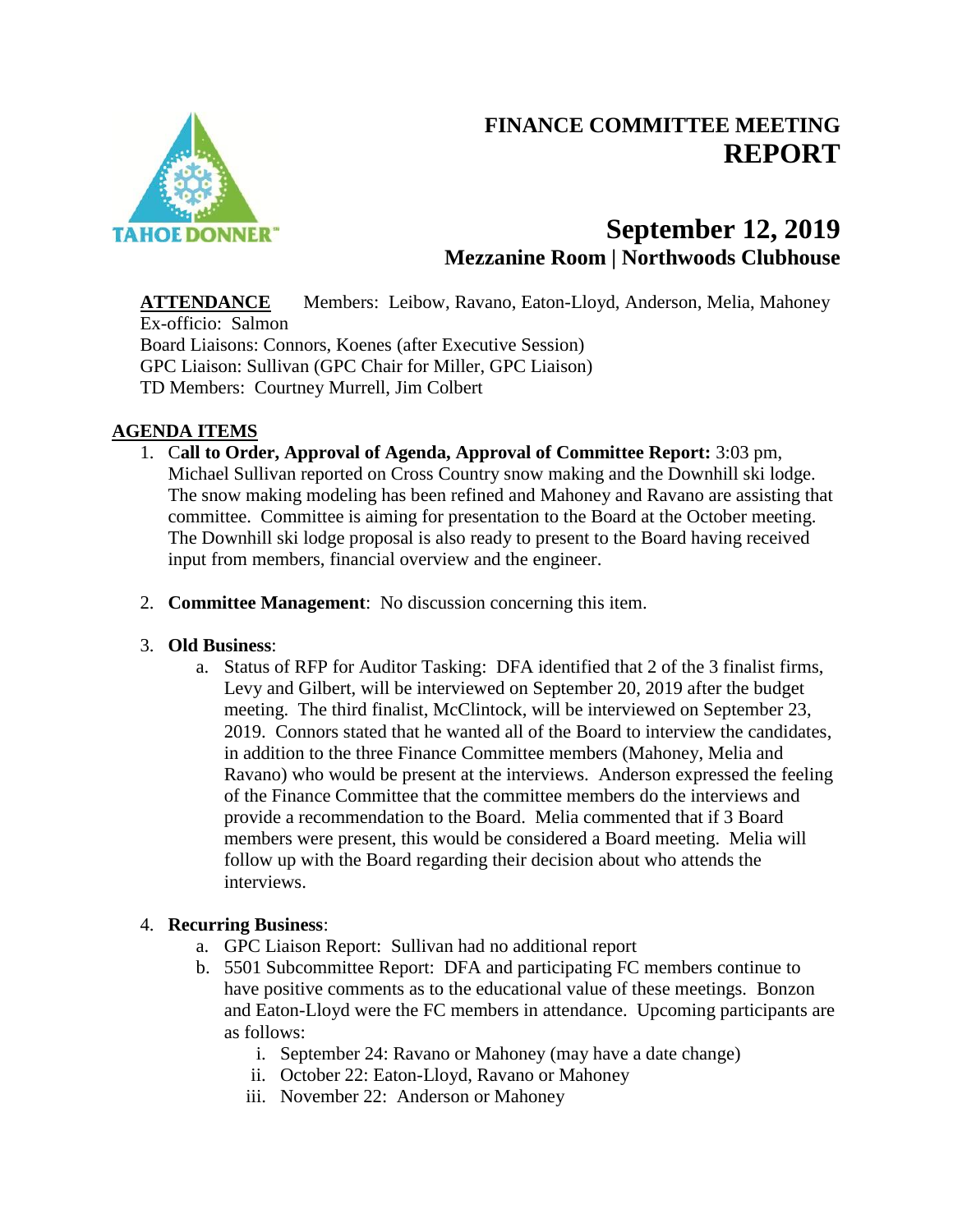# **FINANCE COMMITTEE MEETING REPORT**



## **September 12, 2019 Mezzanine Room | Northwoods Clubhouse**

**ATTENDANCE** Members: Leibow, Ravano, Eaton-Lloyd, Anderson, Melia, Mahoney Ex-officio: Salmon Board Liaisons: Connors, Koenes (after Executive Session) GPC Liaison: Sullivan (GPC Chair for Miller, GPC Liaison) TD Members: Courtney Murrell, Jim Colbert

## **AGENDA ITEMS**

- 1. C**all to Order, Approval of Agenda, Approval of Committee Report:** 3:03 pm, Michael Sullivan reported on Cross Country snow making and the Downhill ski lodge. The snow making modeling has been refined and Mahoney and Ravano are assisting that committee. Committee is aiming for presentation to the Board at the October meeting. The Downhill ski lodge proposal is also ready to present to the Board having received input from members, financial overview and the engineer.
- 2. **Committee Management**: No discussion concerning this item.

## 3. **Old Business**:

a. Status of RFP for Auditor Tasking: DFA identified that 2 of the 3 finalist firms, Levy and Gilbert, will be interviewed on September 20, 2019 after the budget meeting. The third finalist, McClintock, will be interviewed on September 23, 2019. Connors stated that he wanted all of the Board to interview the candidates, in addition to the three Finance Committee members (Mahoney, Melia and Ravano) who would be present at the interviews. Anderson expressed the feeling of the Finance Committee that the committee members do the interviews and provide a recommendation to the Board. Melia commented that if 3 Board members were present, this would be considered a Board meeting. Melia will follow up with the Board regarding their decision about who attends the interviews.

## 4. **Recurring Business**:

- a. GPC Liaison Report: Sullivan had no additional report
- b. 5501 Subcommittee Report: DFA and participating FC members continue to have positive comments as to the educational value of these meetings. Bonzon and Eaton-Lloyd were the FC members in attendance. Upcoming participants are as follows:
	- i. September 24: Ravano or Mahoney (may have a date change)
	- ii. October 22: Eaton-Lloyd, Ravano or Mahoney
	- iii. November 22: Anderson or Mahoney